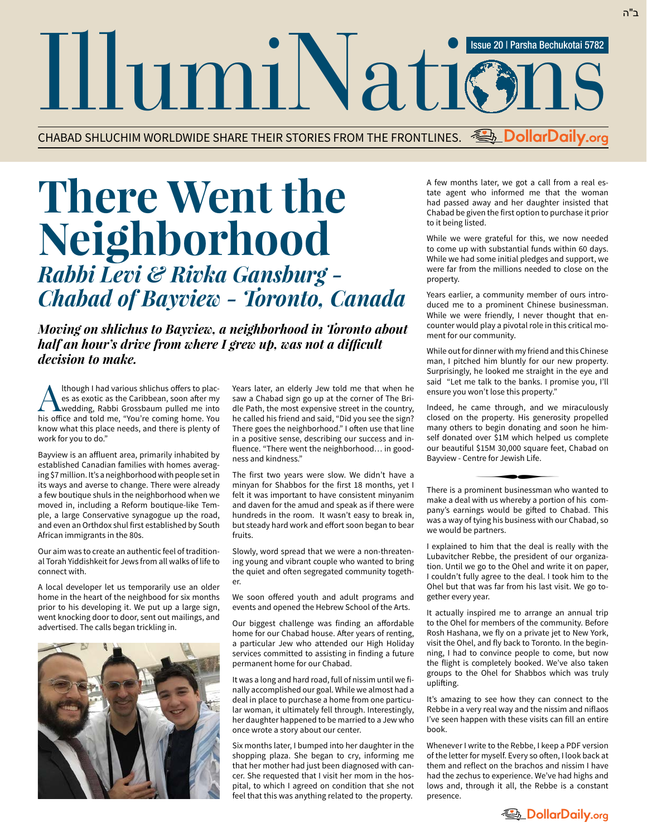IllumiNations Issue 20 | Parsha Bechukotai 5782

CHABAD SHLUCHIM WORLDWIDE SHARE THEIR STORIES FROM THE FRONTLINES. *<u>Ash</u>* DollarDaily.org

## **There Went the Neighborhood**  *Rabbi Levi & Rivka Gansburg - Chabad of Bayview - Toronto, Canada*

*Moving on shlichus to Bayview, a neighborhood in Toronto about half an hour's drive from where I grew up, was not a difficult decision to make.* 

Although I had various shlichus offers to places as exotic as the Caribbean, soon after my<br>wedding, Rabbi Grossbaum pulled me into<br>his office and tald me "You're eming hame You es as exotic as the Caribbean, soon after my his office and told me, "You're coming home. You know what this place needs, and there is plenty of work for you to do."

Bayview is an affluent area, primarily inhabited by established Canadian families with homes averaging \$7 million. It's a neighborhood with people set in its ways and averse to change. There were already a few boutique shuls in the neighborhood when we moved in, including a Reform boutique-like Temple, a large Conservative synagogue up the road, and even an Orthdox shul first established by South African immigrants in the 80s.

Our aim was to create an authentic feel of traditional Torah Yiddishkeit for Jews from all walks of life to connect with.

A local developer let us temporarily use an older home in the heart of the neighbood for six months prior to his developing it. We put up a large sign, went knocking door to door, sent out mailings, and advertised. The calls began trickling in.



Years later, an elderly Jew told me that when he saw a Chabad sign go up at the corner of The Bridle Path, the most expensive street in the country, he called his friend and said, "Did you see the sign? There goes the neighborhood." I often use that line in a positive sense, describing our success and influence. "There went the neighborhood… in goodness and kindness."

The first two years were slow. We didn't have a minyan for Shabbos for the first 18 months, yet I felt it was important to have consistent minyanim and daven for the amud and speak as if there were hundreds in the room. It wasn't easy to break in, but steady hard work and effort soon began to bear fruits.

Slowly, word spread that we were a non-threatening young and vibrant couple who wanted to bring the quiet and often segregated community together.

We soon offered youth and adult programs and events and opened the Hebrew School of the Arts.

Our biggest challenge was finding an affordable home for our Chabad house. After years of renting, a particular Jew who attended our High Holiday services committed to assisting in finding a future permanent home for our Chabad.

It was a long and hard road, full of nissim until we finally accomplished our goal. While we almost had a deal in place to purchase a home from one particular woman, it ultimately fell through. Interestingly, her daughter happened to be married to a Jew who once wrote a story about our center.

Six months later, I bumped into her daughter in the shopping plaza. She began to cry, informing me that her mother had just been diagnosed with cancer. She requested that I visit her mom in the hospital, to which I agreed on condition that she not feel that this was anything related to the property.

A few months later, we got a call from a real estate agent who informed me that the woman had passed away and her daughter insisted that Chabad be given the first option to purchase it prior to it being listed.

While we were grateful for this, we now needed to come up with substantial funds within 60 days. While we had some initial pledges and support, we were far from the millions needed to close on the property.

Years earlier, a community member of ours introduced me to a prominent Chinese businessman. While we were friendly, I never thought that encounter would play a pivotal role in this critical moment for our community.

While out for dinner with my friend and this Chinese man, I pitched him bluntly for our new property. Surprisingly, he looked me straight in the eye and said "Let me talk to the banks. I promise you, I'll ensure you won't lose this property."

Indeed, he came through, and we miraculously closed on the property. His generosity propelled many others to begin donating and soon he himself donated over \$1M which helped us complete our beautiful \$15M 30,000 square feet, Chabad on Bayview - Centre for Jewish Life.<br>■

There is a prominent businessman who wanted to make a deal with us whereby a portion of his com pany's earnings would be gifted to Chabad. This was a way of tying his business with our Chabad, so we would be partners.

I explained to him that the deal is really with the Lubavitcher Rebbe, the president of our organization. Until we go to the Ohel and write it on paper, I couldn't fully agree to the deal. I took him to the Ohel but that was far from his last visit. We go together every year.

It actually inspired me to arrange an annual trip to the Ohel for members of the community. Before Rosh Hashana, we fly on a private jet to New York, visit the Ohel, and fly back to Toronto. In the beginning, I had to convince people to come, but now the flight is completely booked. We've also taken groups to the Ohel for Shabbos which was truly uplifting.

It's amazing to see how they can connect to the Rebbe in a very real way and the nissim and niflaos I've seen happen with these visits can fill an entire book.

Whenever I write to the Rebbe, I keep a PDF version of the letter for myself. Every so often, I look back at them and reflect on the brachos and nissim I have had the zechus to experience. We've had highs and lows and, through it all, the Rebbe is a constant presence.